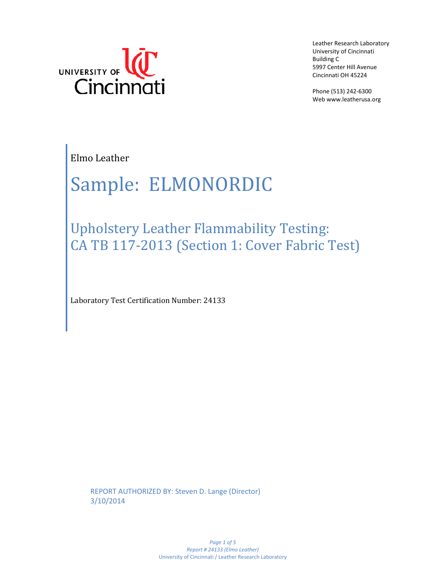

Leather Research Laboratory University of Cincinnati Building C 5997 Center Hill Avenue Cincinnati OH 45224

Phone (513) 242-6300 Web www.leatherusa.org

Elmo Leather

# Sample: ELMONORDIC

Upholstery Leather Flammability Testing: CA TB 117-2013 (Section 1: Cover Fabric Test)

Laboratory Test Certification Number: 24133

REPORT AUTHORIZED BY: Steven D. Lange (Director) 3/10/2014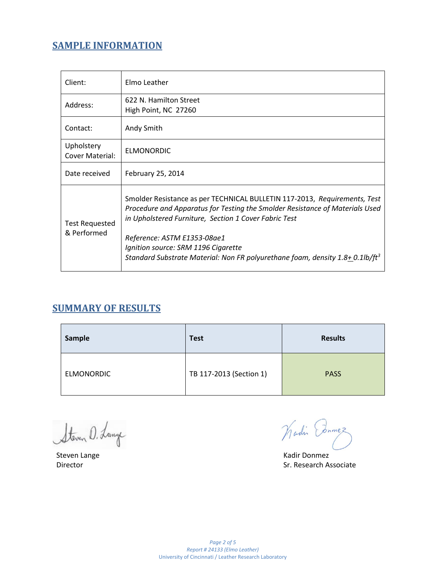# **SAMPLE INFORMATION**

| Client:                              | Elmo Leather                                                                                                                                                                                                                                                                                                                                                                          |
|--------------------------------------|---------------------------------------------------------------------------------------------------------------------------------------------------------------------------------------------------------------------------------------------------------------------------------------------------------------------------------------------------------------------------------------|
| Address:                             | 622 N. Hamilton Street<br>High Point, NC 27260                                                                                                                                                                                                                                                                                                                                        |
| Contact:                             | Andy Smith                                                                                                                                                                                                                                                                                                                                                                            |
| Upholstery<br>Cover Material:        | <b>ELMONORDIC</b>                                                                                                                                                                                                                                                                                                                                                                     |
| Date received                        | February 25, 2014                                                                                                                                                                                                                                                                                                                                                                     |
| <b>Test Requested</b><br>& Performed | Smolder Resistance as per TECHNICAL BULLETIN 117-2013, Requirements, Test<br>Procedure and Apparatus for Testing the Smolder Resistance of Materials Used<br>in Upholstered Furniture, Section 1 Cover Fabric Test<br>Reference: ASTM E1353-08ae1<br>Ignition source: SRM 1196 Cigarette<br>Standard Substrate Material: Non FR polyurethane foam, density 1.8+ 0.1lb/ft <sup>3</sup> |

# **SUMMARY OF RESULTS**

| Sample            | <b>Test</b>             | <b>Results</b> |  |  |
|-------------------|-------------------------|----------------|--|--|
| <b>ELMONORDIC</b> | TB 117-2013 (Section 1) | <b>PASS</b>    |  |  |

Steven D. Lange

Wadin Ednmez

Steven Lange Kadir Donmez Director Sr. Research Associate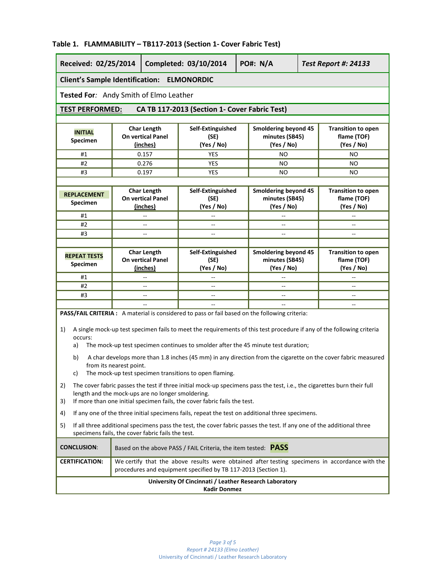| Received: 02/25/2014                                                                                                                                                                                                                                                                                                                                                                                                                                                                                                                                  |                                                                |                          | Completed: 03/10/2014<br><b>PO#: N/A</b>                                                        |  |                                                             | <b>Test Report #: 24133</b> |                                                        |  |  |
|-------------------------------------------------------------------------------------------------------------------------------------------------------------------------------------------------------------------------------------------------------------------------------------------------------------------------------------------------------------------------------------------------------------------------------------------------------------------------------------------------------------------------------------------------------|----------------------------------------------------------------|--------------------------|-------------------------------------------------------------------------------------------------|--|-------------------------------------------------------------|-----------------------------|--------------------------------------------------------|--|--|
| <b>Client's Sample Identification: ELMONORDIC</b>                                                                                                                                                                                                                                                                                                                                                                                                                                                                                                     |                                                                |                          |                                                                                                 |  |                                                             |                             |                                                        |  |  |
| Tested For: Andy Smith of Elmo Leather                                                                                                                                                                                                                                                                                                                                                                                                                                                                                                                |                                                                |                          |                                                                                                 |  |                                                             |                             |                                                        |  |  |
| CA TB 117-2013 (Section 1- Cover Fabric Test)<br><b>TEST PERFORMED:</b>                                                                                                                                                                                                                                                                                                                                                                                                                                                                               |                                                                |                          |                                                                                                 |  |                                                             |                             |                                                        |  |  |
|                                                                                                                                                                                                                                                                                                                                                                                                                                                                                                                                                       |                                                                |                          |                                                                                                 |  |                                                             |                             |                                                        |  |  |
| <b>INITIAL</b><br>Specimen                                                                                                                                                                                                                                                                                                                                                                                                                                                                                                                            | <b>Char Length</b><br>On vertical Panel<br>(inches)            |                          | Self-Extinguished<br>(SE)<br>(Yes / No)                                                         |  | Smoldering beyond 45<br>minutes (SB45)<br>(Yes / No)        |                             | <b>Transition to open</b><br>flame (TOF)<br>(Yes / No) |  |  |
| #1                                                                                                                                                                                                                                                                                                                                                                                                                                                                                                                                                    |                                                                | 0.157                    | <b>YES</b>                                                                                      |  | NO.                                                         |                             | NO.                                                    |  |  |
| #2                                                                                                                                                                                                                                                                                                                                                                                                                                                                                                                                                    |                                                                | 0.276                    | <b>YES</b>                                                                                      |  | NO.                                                         |                             | NO.                                                    |  |  |
| #3                                                                                                                                                                                                                                                                                                                                                                                                                                                                                                                                                    |                                                                | 0.197                    | <b>YES</b>                                                                                      |  | NO                                                          |                             | NO.                                                    |  |  |
|                                                                                                                                                                                                                                                                                                                                                                                                                                                                                                                                                       |                                                                |                          |                                                                                                 |  |                                                             |                             |                                                        |  |  |
| <b>REPLACEMENT</b><br>Specimen                                                                                                                                                                                                                                                                                                                                                                                                                                                                                                                        | <b>Char Length</b><br><b>On vertical Panel</b><br>(inches)     |                          | Self-Extinguished<br>(SE)<br>(Yes / No)                                                         |  | <b>Smoldering beyond 45</b><br>minutes (SB45)<br>(Yes / No) |                             | <b>Transition to open</b><br>flame (TOF)<br>(Yes / No) |  |  |
| #1                                                                                                                                                                                                                                                                                                                                                                                                                                                                                                                                                    |                                                                | $-$                      |                                                                                                 |  |                                                             |                             | $-$                                                    |  |  |
| #2                                                                                                                                                                                                                                                                                                                                                                                                                                                                                                                                                    |                                                                | Ξ.                       | $-$                                                                                             |  | Ξ.                                                          |                             | $-$                                                    |  |  |
| #3                                                                                                                                                                                                                                                                                                                                                                                                                                                                                                                                                    |                                                                | --                       | $-$                                                                                             |  | $\overline{a}$                                              |                             | $\overline{\phantom{a}}$                               |  |  |
|                                                                                                                                                                                                                                                                                                                                                                                                                                                                                                                                                       |                                                                |                          |                                                                                                 |  |                                                             |                             |                                                        |  |  |
| <b>Char Length</b><br><b>REPEAT TESTS</b><br><b>On vertical Panel</b><br>Specimen<br>(inches)                                                                                                                                                                                                                                                                                                                                                                                                                                                         |                                                                |                          | Self-Extinguished<br>(SE)<br>(Yes / No)                                                         |  | Smoldering beyond 45<br>minutes (SB45)<br>(Yes / No)        |                             | <b>Transition to open</b><br>flame (TOF)<br>(Yes / No) |  |  |
| #1                                                                                                                                                                                                                                                                                                                                                                                                                                                                                                                                                    |                                                                | Ξ.                       |                                                                                                 |  | Ξ.                                                          |                             | $-$                                                    |  |  |
| #2                                                                                                                                                                                                                                                                                                                                                                                                                                                                                                                                                    |                                                                | Ξ.                       | $\overline{\phantom{a}}$                                                                        |  | --                                                          |                             | $-$                                                    |  |  |
| #3                                                                                                                                                                                                                                                                                                                                                                                                                                                                                                                                                    |                                                                | $\overline{\phantom{a}}$ | $-$                                                                                             |  | $\overline{\phantom{a}}$                                    |                             | $-$                                                    |  |  |
|                                                                                                                                                                                                                                                                                                                                                                                                                                                                                                                                                       | $\sim$<br>$\overline{\phantom{a}}$<br>$\overline{a}$<br>$-$    |                          |                                                                                                 |  |                                                             |                             |                                                        |  |  |
| PASS/FAIL CRITERIA : A material is considered to pass or fail based on the following criteria:<br>A single mock-up test specimen fails to meet the requirements of this test procedure if any of the following criteria<br>1)<br>occurs:<br>The mock-up test specimen continues to smolder after the 45 minute test duration;<br>a)<br>A char develops more than 1.8 inches (45 mm) in any direction from the cigarette on the cover fabric measured<br>b)<br>from its nearest point.<br>The mock-up test specimen transitions to open flaming.<br>c) |                                                                |                          |                                                                                                 |  |                                                             |                             |                                                        |  |  |
| The cover fabric passes the test if three initial mock-up specimens pass the test, i.e., the cigarettes burn their full<br>2)<br>length and the mock-ups are no longer smoldering.<br>If more than one initial specimen fails, the cover fabric fails the test.<br>3)                                                                                                                                                                                                                                                                                 |                                                                |                          |                                                                                                 |  |                                                             |                             |                                                        |  |  |
| 4)                                                                                                                                                                                                                                                                                                                                                                                                                                                                                                                                                    |                                                                |                          | If any one of the three initial specimens fails, repeat the test on additional three specimens. |  |                                                             |                             |                                                        |  |  |
| If all three additional specimens pass the test, the cover fabric passes the test. If any one of the additional three<br>5)<br>specimens fails, the cover fabric fails the test.                                                                                                                                                                                                                                                                                                                                                                      |                                                                |                          |                                                                                                 |  |                                                             |                             |                                                        |  |  |
| <b>CONCLUSION:</b>                                                                                                                                                                                                                                                                                                                                                                                                                                                                                                                                    | Based on the above PASS / FAIL Criteria, the item tested: PASS |                          |                                                                                                 |  |                                                             |                             |                                                        |  |  |
| We certify that the above results were obtained after testing specimens in accordance with the<br><b>CERTIFICATION:</b><br>procedures and equipment specified by TB 117-2013 (Section 1).                                                                                                                                                                                                                                                                                                                                                             |                                                                |                          |                                                                                                 |  |                                                             |                             |                                                        |  |  |
| University Of Cincinnati / Leather Research Laboratory<br><b>Kadir Donmez</b>                                                                                                                                                                                                                                                                                                                                                                                                                                                                         |                                                                |                          |                                                                                                 |  |                                                             |                             |                                                        |  |  |
|                                                                                                                                                                                                                                                                                                                                                                                                                                                                                                                                                       |                                                                |                          |                                                                                                 |  |                                                             |                             |                                                        |  |  |

## **Table 1. FLAMMABILITY – TB117-2013 (Section 1- Cover Fabric Test)**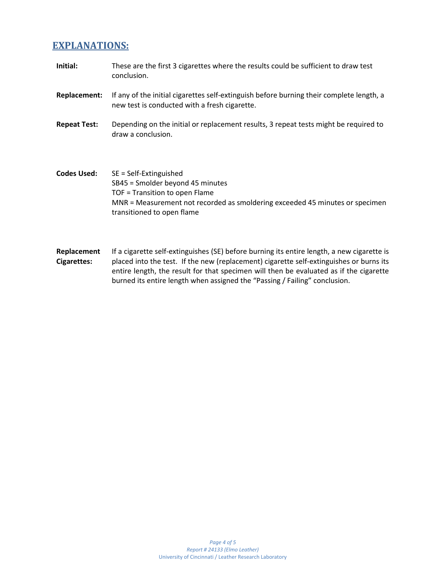# **EXPLANATIONS:**

- **Initial:** These are the first 3 cigarettes where the results could be sufficient to draw test conclusion.
- **Replacement:** If any of the initial cigarettes self-extinguish before burning their complete length, a new test is conducted with a fresh cigarette.
- **Repeat Test:** Depending on the initial or replacement results, 3 repeat tests might be required to draw a conclusion.
- **Codes Used:** SE = Self-Extinguished SB45 = Smolder beyond 45 minutes TOF = Transition to open Flame MNR = Measurement not recorded as smoldering exceeded 45 minutes or specimen transitioned to open flame
- **Replacement Cigarettes:** If a cigarette self-extinguishes (SE) before burning its entire length, a new cigarette is placed into the test. If the new (replacement) cigarette self-extinguishes or burns its entire length, the result for that specimen will then be evaluated as if the cigarette burned its entire length when assigned the "Passing / Failing" conclusion.